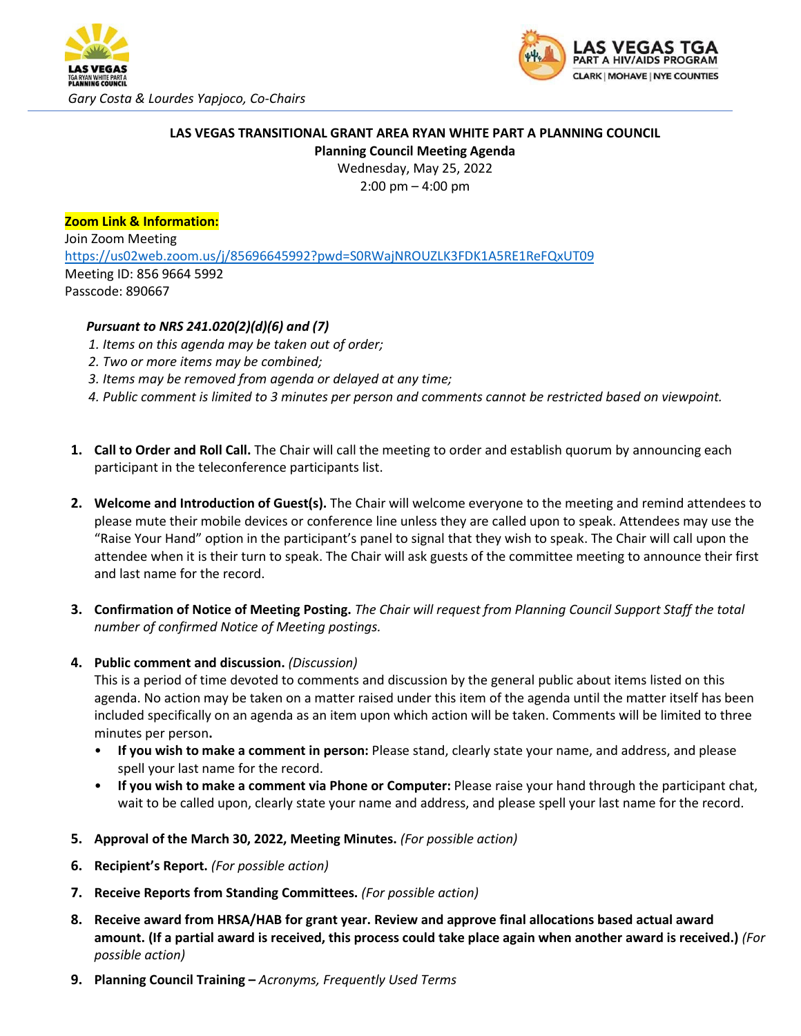



## **LAS VEGAS TRANSITIONAL GRANT AREA RYAN WHITE PART A PLANNING COUNCIL Planning Council Meeting Agenda**

Wednesday, May 25, 2022

2:00 pm – 4:00 pm

## **Zoom Link & Information:**

Join Zoom Meeting <https://us02web.zoom.us/j/85696645992?pwd=S0RWajNROUZLK3FDK1A5RE1ReFQxUT09> Meeting ID: 856 9664 5992 Passcode: 890667

## *Pursuant to NRS 241.020(2)(d)(6) and (7)*

- *1. Items on this agenda may be taken out of order;*
- *2. Two or more items may be combined;*
- *3. Items may be removed from agenda or delayed at any time;*
- *4. Public comment is limited to 3 minutes per person and comments cannot be restricted based on viewpoint.*
- **1. Call to Order and Roll Call.** The Chair will call the meeting to order and establish quorum by announcing each participant in the teleconference participants list.
- **2. Welcome and Introduction of Guest(s).** The Chair will welcome everyone to the meeting and remind attendees to please mute their mobile devices or conference line unless they are called upon to speak. Attendees may use the "Raise Your Hand" option in the participant's panel to signal that they wish to speak. The Chair will call upon the attendee when it is their turn to speak. The Chair will ask guests of the committee meeting to announce their first and last name for the record.
- **3. Confirmation of Notice of Meeting Posting.** *The Chair will request from Planning Council Support Staff the total number of confirmed Notice of Meeting postings.*

## **4. Public comment and discussion.** *(Discussion)*

This is a period of time devoted to comments and discussion by the general public about items listed on this agenda. No action may be taken on a matter raised under this item of the agenda until the matter itself has been included specifically on an agenda as an item upon which action will be taken. Comments will be limited to three minutes per person**.** 

- **If you wish to make a comment in person:** Please stand, clearly state your name, and address, and please spell your last name for the record.
- **If you wish to make a comment via Phone or Computer:** Please raise your hand through the participant chat, wait to be called upon, clearly state your name and address, and please spell your last name for the record.
- **5. Approval of the March 30, 2022, Meeting Minutes.** *(For possible action)*
- **6. Recipient's Report.** *(For possible action)*
- **7. Receive Reports from Standing Committees.** *(For possible action)*
- **8. Receive award from HRSA/HAB for grant year. Review and approve final allocations based actual award amount. (If a partial award is received, this process could take place again when another award is received.)** *(For possible action)*
- **9. Planning Council Training –** *Acronyms, Frequently Used Terms*